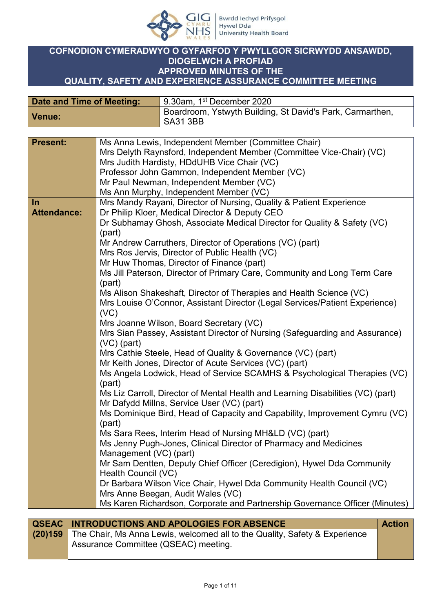

## **COFNODION CYMERADWYO O GYFARFOD Y PWYLLGOR SICRWYDD ANSAWDD, DIOGELWCH A PROFIAD APPROVED MINUTES OF THE QUALITY, SAFETY AND EXPERIENCE ASSURANCE COMMITTEE MEETING**

| Date and Time of Meeting: | 9.30am, 1 <sup>st</sup> December 2020                                        |
|---------------------------|------------------------------------------------------------------------------|
| <b>Venue:</b>             | Boardroom, Ystwyth Building, St David's Park, Carmarthen,<br><b>SA31 3BB</b> |

| <b>Present:</b>    | Ms Anna Lewis, Independent Member (Committee Chair)                                                                           |
|--------------------|-------------------------------------------------------------------------------------------------------------------------------|
|                    | Mrs Delyth Raynsford, Independent Member (Committee Vice-Chair) (VC)                                                          |
|                    | Mrs Judith Hardisty, HDdUHB Vice Chair (VC)                                                                                   |
|                    | Professor John Gammon, Independent Member (VC)                                                                                |
|                    | Mr Paul Newman, Independent Member (VC)                                                                                       |
|                    | Ms Ann Murphy, Independent Member (VC)                                                                                        |
| In                 | Mrs Mandy Rayani, Director of Nursing, Quality & Patient Experience                                                           |
| <b>Attendance:</b> | Dr Philip Kloer, Medical Director & Deputy CEO                                                                                |
|                    | Dr Subhamay Ghosh, Associate Medical Director for Quality & Safety (VC)<br>(part)                                             |
|                    | Mr Andrew Carruthers, Director of Operations (VC) (part)                                                                      |
|                    | Mrs Ros Jervis, Director of Public Health (VC)                                                                                |
|                    | Mr Huw Thomas, Director of Finance (part)                                                                                     |
|                    | Ms Jill Paterson, Director of Primary Care, Community and Long Term Care                                                      |
|                    | (part)                                                                                                                        |
|                    | Ms Alison Shakeshaft, Director of Therapies and Health Science (VC)                                                           |
|                    | Mrs Louise O'Connor, Assistant Director (Legal Services/Patient Experience)                                                   |
|                    | (VC)<br>Mrs Joanne Wilson, Board Secretary (VC)                                                                               |
|                    | Mrs Sian Passey, Assistant Director of Nursing (Safeguarding and Assurance)                                                   |
|                    | $(VC)$ (part)                                                                                                                 |
|                    | Mrs Cathie Steele, Head of Quality & Governance (VC) (part)                                                                   |
|                    | Mr Keith Jones, Director of Acute Services (VC) (part)                                                                        |
|                    | Ms Angela Lodwick, Head of Service SCAMHS & Psychological Therapies (VC)                                                      |
|                    | (part)                                                                                                                        |
|                    | Ms Liz Carroll, Director of Mental Health and Learning Disabilities (VC) (part)<br>Mr Dafydd Millns, Service User (VC) (part) |
|                    | Ms Dominique Bird, Head of Capacity and Capability, Improvement Cymru (VC)                                                    |
|                    | (part)                                                                                                                        |
|                    | Ms Sara Rees, Interim Head of Nursing MH&LD (VC) (part)                                                                       |
|                    | Ms Jenny Pugh-Jones, Clinical Director of Pharmacy and Medicines                                                              |
|                    | Management (VC) (part)                                                                                                        |
|                    | Mr Sam Dentten, Deputy Chief Officer (Ceredigion), Hywel Dda Community                                                        |
|                    | Health Council (VC)                                                                                                           |
|                    | Dr Barbara Wilson Vice Chair, Hywel Dda Community Health Council (VC)                                                         |
|                    | Mrs Anne Beegan, Audit Wales (VC)                                                                                             |
|                    | Ms Karen Richardson, Corporate and Partnership Governance Officer (Minutes)                                                   |

| <b>QSEAC INTRODUCTIONS AND APOLOGIES FOR ABSENCE</b>                               | <b>Action</b> |
|------------------------------------------------------------------------------------|---------------|
| (20)159 The Chair, Ms Anna Lewis, welcomed all to the Quality, Safety & Experience |               |
| Assurance Committee (QSEAC) meeting.                                               |               |
|                                                                                    |               |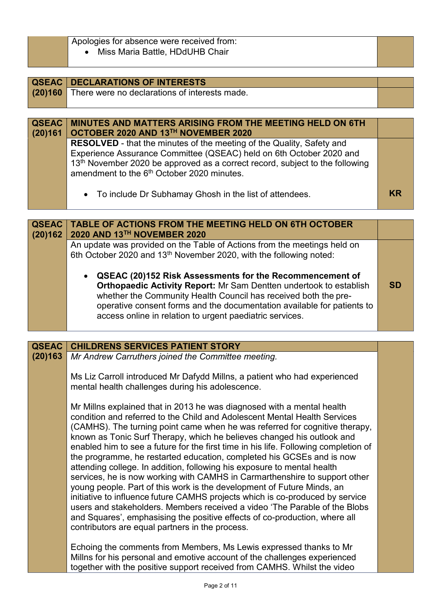|  | Apologies for absence were received from: |
|--|-------------------------------------------|
|  |                                           |

Miss Maria Battle, HDdUHB Chair

|         | <b>QSEAC DECLARATIONS OF INTERESTS</b>                                                   |  |
|---------|------------------------------------------------------------------------------------------|--|
| (20)160 | There were no declarations of interests made.                                            |  |
|         |                                                                                          |  |
|         |                                                                                          |  |
| QSEAC   | <b>MINUTES AND MATTERS ARISING FROM THE MEETING HELD ON 6TH</b>                          |  |
| (20)161 | OCTOBER 2020 AND 13TH NOVEMBER 2020                                                      |  |
|         | <b>RESOLVED</b> - that the minutes of the meeting of the Quality, Safety and             |  |
|         | Experience Assurance Committee (QSEAC) held on 6th October 2020 and                      |  |
|         | 13 <sup>th</sup> November 2020 be approved as a correct record, subject to the following |  |
|         | amendment to the 6 <sup>th</sup> October 2020 minutes.                                   |  |
|         |                                                                                          |  |
|         | • To include Dr Subhamay Ghosh in the list of attendees.                                 |  |
|         |                                                                                          |  |

| <b>QSEAC</b> | TABLE OF ACTIONS FROM THE MEETING HELD ON 6TH OCTOBER<br>2020 AND 13TH NOVEMBER 2020                                                                                                                                                                                                                                                                                                                                                                                                                     |     |
|--------------|----------------------------------------------------------------------------------------------------------------------------------------------------------------------------------------------------------------------------------------------------------------------------------------------------------------------------------------------------------------------------------------------------------------------------------------------------------------------------------------------------------|-----|
| (20)162      | An update was provided on the Table of Actions from the meetings held on<br>6th October 2020 and 13 <sup>th</sup> November 2020, with the following noted:<br>• QSEAC (20)152 Risk Assessments for the Recommencement of<br>Orthopaedic Activity Report: Mr Sam Dentten undertook to establish<br>whether the Community Health Council has received both the pre-<br>operative consent forms and the documentation available for patients to<br>access online in relation to urgent paediatric services. | .SD |

| <b>QSEAC</b> | <b>CHILDRENS SERVICES PATIENT STORY</b>                                                                                                                                                                                                                                                                                                                                                                                                                                                                                                                                                                                                                                                                                                                                                                                                                                                                                                                                                                         |  |
|--------------|-----------------------------------------------------------------------------------------------------------------------------------------------------------------------------------------------------------------------------------------------------------------------------------------------------------------------------------------------------------------------------------------------------------------------------------------------------------------------------------------------------------------------------------------------------------------------------------------------------------------------------------------------------------------------------------------------------------------------------------------------------------------------------------------------------------------------------------------------------------------------------------------------------------------------------------------------------------------------------------------------------------------|--|
| (20)163      | Mr Andrew Carruthers joined the Committee meeting.                                                                                                                                                                                                                                                                                                                                                                                                                                                                                                                                                                                                                                                                                                                                                                                                                                                                                                                                                              |  |
|              | Ms Liz Carroll introduced Mr Dafydd Millns, a patient who had experienced<br>mental health challenges during his adolescence.                                                                                                                                                                                                                                                                                                                                                                                                                                                                                                                                                                                                                                                                                                                                                                                                                                                                                   |  |
|              | Mr Millns explained that in 2013 he was diagnosed with a mental health<br>condition and referred to the Child and Adolescent Mental Health Services<br>(CAMHS). The turning point came when he was referred for cognitive therapy,<br>known as Tonic Surf Therapy, which he believes changed his outlook and<br>enabled him to see a future for the first time in his life. Following completion of<br>the programme, he restarted education, completed his GCSEs and is now<br>attending college. In addition, following his exposure to mental health<br>services, he is now working with CAMHS in Carmarthenshire to support other<br>young people. Part of this work is the development of Future Minds, an<br>initiative to influence future CAMHS projects which is co-produced by service<br>users and stakeholders. Members received a video 'The Parable of the Blobs<br>and Squares', emphasising the positive effects of co-production, where all<br>contributors are equal partners in the process. |  |
|              | Echoing the comments from Members, Ms Lewis expressed thanks to Mr<br>Millns for his personal and emotive account of the challenges experienced<br>together with the positive support received from CAMHS. Whilst the video                                                                                                                                                                                                                                                                                                                                                                                                                                                                                                                                                                                                                                                                                                                                                                                     |  |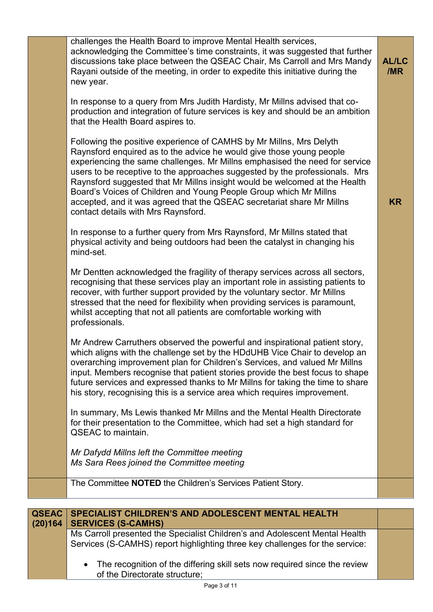|              | challenges the Health Board to improve Mental Health services,<br>acknowledging the Committee's time constraints, it was suggested that further<br>discussions take place between the QSEAC Chair, Ms Carroll and Mrs Mandy<br>Rayani outside of the meeting, in order to expedite this initiative during the<br>new year.                                                                                                                                                                                                                                                    | <b>AL/LC</b><br>/MR |
|--------------|-------------------------------------------------------------------------------------------------------------------------------------------------------------------------------------------------------------------------------------------------------------------------------------------------------------------------------------------------------------------------------------------------------------------------------------------------------------------------------------------------------------------------------------------------------------------------------|---------------------|
|              | In response to a query from Mrs Judith Hardisty, Mr Millns advised that co-<br>production and integration of future services is key and should be an ambition<br>that the Health Board aspires to.                                                                                                                                                                                                                                                                                                                                                                            |                     |
|              | Following the positive experience of CAMHS by Mr Millns, Mrs Delyth<br>Raynsford enquired as to the advice he would give those young people<br>experiencing the same challenges. Mr Millns emphasised the need for service<br>users to be receptive to the approaches suggested by the professionals. Mrs<br>Raynsford suggested that Mr Millns insight would be welcomed at the Health<br>Board's Voices of Children and Young People Group which Mr Millns<br>accepted, and it was agreed that the QSEAC secretariat share Mr Millns<br>contact details with Mrs Raynsford. | <b>KR</b>           |
|              | In response to a further query from Mrs Raynsford, Mr Millns stated that<br>physical activity and being outdoors had been the catalyst in changing his<br>mind-set.                                                                                                                                                                                                                                                                                                                                                                                                           |                     |
|              | Mr Dentten acknowledged the fragility of therapy services across all sectors,<br>recognising that these services play an important role in assisting patients to<br>recover, with further support provided by the voluntary sector. Mr Millns<br>stressed that the need for flexibility when providing services is paramount,<br>whilst accepting that not all patients are comfortable working with<br>professionals.                                                                                                                                                        |                     |
|              | Mr Andrew Carruthers observed the powerful and inspirational patient story,<br>which aligns with the challenge set by the HDdUHB Vice Chair to develop an<br>overarching improvement plan for Children's Services, and valued Mr Millns<br>input. Members recognise that patient stories provide the best focus to shape<br>future services and expressed thanks to Mr Millns for taking the time to share<br>his story, recognising this is a service area which requires improvement.                                                                                       |                     |
|              | In summary, Ms Lewis thanked Mr Millns and the Mental Health Directorate<br>for their presentation to the Committee, which had set a high standard for<br><b>QSEAC</b> to maintain.                                                                                                                                                                                                                                                                                                                                                                                           |                     |
|              | Mr Dafydd Millns left the Committee meeting<br>Ms Sara Rees joined the Committee meeting                                                                                                                                                                                                                                                                                                                                                                                                                                                                                      |                     |
|              | The Committee NOTED the Children's Services Patient Story.                                                                                                                                                                                                                                                                                                                                                                                                                                                                                                                    |                     |
| <b>QSEAC</b> | SPECIALIST CHILDREN'S AND ADOLESCENT MENTAL HEALTH                                                                                                                                                                                                                                                                                                                                                                                                                                                                                                                            |                     |
| (20)164      | <b>SERVICES (S-CAMHS)</b><br>Ms Carroll presented the Specialist Children's and Adolescent Mental Health<br>Services (S-CAMHS) report highlighting three key challenges for the service:                                                                                                                                                                                                                                                                                                                                                                                      |                     |
|              | The recognition of the differing skill sets now required since the review                                                                                                                                                                                                                                                                                                                                                                                                                                                                                                     |                     |

Page 3 of 11

of the Directorate structure;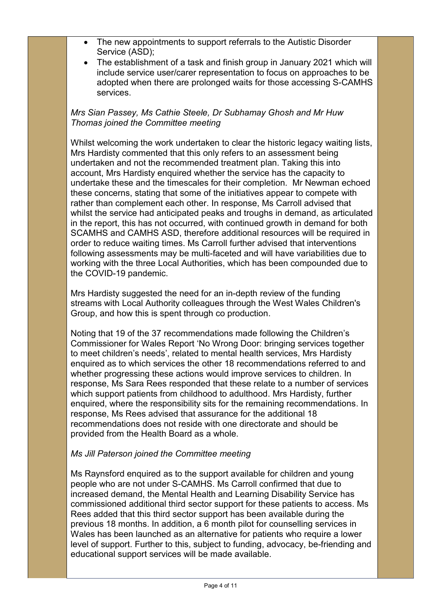- The new appointments to support referrals to the Autistic Disorder Service (ASD);
- The establishment of a task and finish group in January 2021 which will include service user/carer representation to focus on approaches to be adopted when there are prolonged waits for those accessing S-CAMHS services.

*Mrs Sian Passey, Ms Cathie Steele, Dr Subhamay Ghosh and Mr Huw Thomas joined the Committee meeting*

Whilst welcoming the work undertaken to clear the historic legacy waiting lists, Mrs Hardisty commented that this only refers to an assessment being undertaken and not the recommended treatment plan. Taking this into account, Mrs Hardisty enquired whether the service has the capacity to undertake these and the timescales for their completion. Mr Newman echoed these concerns, stating that some of the initiatives appear to compete with rather than complement each other. In response, Ms Carroll advised that whilst the service had anticipated peaks and troughs in demand, as articulated in the report, this has not occurred, with continued growth in demand for both SCAMHS and CAMHS ASD, therefore additional resources will be required in order to reduce waiting times. Ms Carroll further advised that interventions following assessments may be multi-faceted and will have variabilities due to working with the three Local Authorities, which has been compounded due to the COVID-19 pandemic.

Mrs Hardisty suggested the need for an in-depth review of the funding streams with Local Authority colleagues through the West Wales Children's Group, and how this is spent through co production.

Noting that 19 of the 37 recommendations made following the Children's Commissioner for Wales Report 'No Wrong Door: bringing services together to meet children's needs', related to mental health services, Mrs Hardisty enquired as to which services the other 18 recommendations referred to and whether progressing these actions would improve services to children. In response, Ms Sara Rees responded that these relate to a number of services which support patients from childhood to adulthood. Mrs Hardisty, further enquired, where the responsibility sits for the remaining recommendations. In response, Ms Rees advised that assurance for the additional 18 recommendations does not reside with one directorate and should be provided from the Health Board as a whole.

## *Ms Jill Paterson joined the Committee meeting*

Ms Raynsford enquired as to the support available for children and young people who are not under S-CAMHS. Ms Carroll confirmed that due to increased demand, the Mental Health and Learning Disability Service has commissioned additional third sector support for these patients to access. Ms Rees added that this third sector support has been available during the previous 18 months. In addition, a 6 month pilot for counselling services in Wales has been launched as an alternative for patients who require a lower level of support. Further to this, subject to funding, advocacy, be-friending and educational support services will be made available.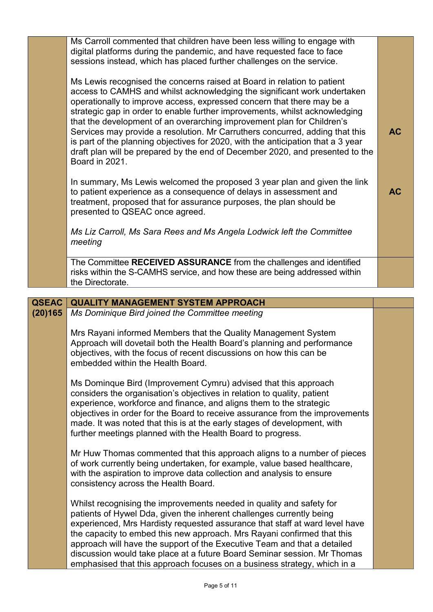|              | Ms Carroll commented that children have been less willing to engage with<br>digital platforms during the pandemic, and have requested face to face<br>sessions instead, which has placed further challenges on the service.                                                                                                                                                                                                                                                                                                                                                                                                                                   |           |
|--------------|---------------------------------------------------------------------------------------------------------------------------------------------------------------------------------------------------------------------------------------------------------------------------------------------------------------------------------------------------------------------------------------------------------------------------------------------------------------------------------------------------------------------------------------------------------------------------------------------------------------------------------------------------------------|-----------|
|              | Ms Lewis recognised the concerns raised at Board in relation to patient<br>access to CAMHS and whilst acknowledging the significant work undertaken<br>operationally to improve access, expressed concern that there may be a<br>strategic gap in order to enable further improvements, whilst acknowledging<br>that the development of an overarching improvement plan for Children's<br>Services may provide a resolution. Mr Carruthers concurred, adding that this<br>is part of the planning objectives for 2020, with the anticipation that a 3 year<br>draft plan will be prepared by the end of December 2020, and presented to the<br>Board in 2021. | <b>AC</b> |
|              | In summary, Ms Lewis welcomed the proposed 3 year plan and given the link<br>to patient experience as a consequence of delays in assessment and<br>treatment, proposed that for assurance purposes, the plan should be<br>presented to QSEAC once agreed.                                                                                                                                                                                                                                                                                                                                                                                                     | <b>AC</b> |
|              | Ms Liz Carroll, Ms Sara Rees and Ms Angela Lodwick left the Committee<br>meeting                                                                                                                                                                                                                                                                                                                                                                                                                                                                                                                                                                              |           |
|              | The Committee RECEIVED ASSURANCE from the challenges and identified<br>risks within the S-CAMHS service, and how these are being addressed within<br>the Directorate.                                                                                                                                                                                                                                                                                                                                                                                                                                                                                         |           |
|              |                                                                                                                                                                                                                                                                                                                                                                                                                                                                                                                                                                                                                                                               |           |
| <b>QSEAC</b> | <b>QUALITY MANAGEMENT SYSTEM APPROACH</b>                                                                                                                                                                                                                                                                                                                                                                                                                                                                                                                                                                                                                     |           |
| (20)165      | Ms Dominique Bird joined the Committee meeting                                                                                                                                                                                                                                                                                                                                                                                                                                                                                                                                                                                                                |           |
|              | Mrs Rayani informed Members that the Quality Management System<br>Approach will dovetail both the Health Board's planning and performance<br>objectives, with the focus of recent discussions on how this can be<br>embedded within the Health Board.                                                                                                                                                                                                                                                                                                                                                                                                         |           |
|              | Ms Dominque Bird (Improvement Cymru) advised that this approach<br>considers the organisation's objectives in relation to quality, patient<br>experience, workforce and finance, and aligns them to the strategic<br>objectives in order for the Board to receive assurance from the improvements<br>made. It was noted that this is at the early stages of development, with<br>further meetings planned with the Health Board to progress.                                                                                                                                                                                                                  |           |
|              | Mr Huw Thomas commented that this approach aligns to a number of pieces<br>of work currently being undertaken, for example, value based healthcare,<br>with the aspiration to improve data collection and analysis to ensure<br>consistency across the Health Board.                                                                                                                                                                                                                                                                                                                                                                                          |           |
|              | Whilst recognising the improvements needed in quality and safety for<br>patients of Hywel Dda, given the inherent challenges currently being                                                                                                                                                                                                                                                                                                                                                                                                                                                                                                                  |           |

experienced, Mrs Hardisty requested assurance that staff at ward level have the capacity to embed this new approach. Mrs Rayani confirmed that this approach will have the support of the Executive Team and that a detailed discussion would take place at a future Board Seminar session. Mr Thomas emphasised that this approach focuses on a business strategy, which in a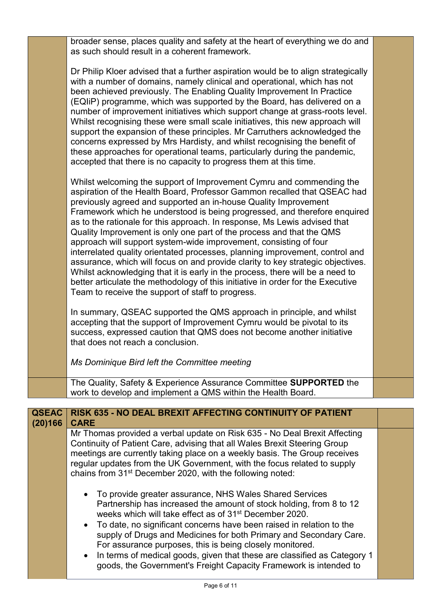| broader sense, places quality and safety at the heart of everything we do and<br>as such should result in a coherent framework.                                                                                                                                                                                                                                                                                                                                                                                                                                                                                                                                                                                                                                                                                                                                                                                        |  |
|------------------------------------------------------------------------------------------------------------------------------------------------------------------------------------------------------------------------------------------------------------------------------------------------------------------------------------------------------------------------------------------------------------------------------------------------------------------------------------------------------------------------------------------------------------------------------------------------------------------------------------------------------------------------------------------------------------------------------------------------------------------------------------------------------------------------------------------------------------------------------------------------------------------------|--|
| Dr Philip Kloer advised that a further aspiration would be to align strategically<br>with a number of domains, namely clinical and operational, which has not<br>been achieved previously. The Enabling Quality Improvement In Practice<br>(EQIIP) programme, which was supported by the Board, has delivered on a<br>number of improvement initiatives which support change at grass-roots level.<br>Whilst recognising these were small scale initiatives, this new approach will<br>support the expansion of these principles. Mr Carruthers acknowledged the<br>concerns expressed by Mrs Hardisty, and whilst recognising the benefit of<br>these approaches for operational teams, particularly during the pandemic,<br>accepted that there is no capacity to progress them at this time.                                                                                                                        |  |
| Whilst welcoming the support of Improvement Cymru and commending the<br>aspiration of the Health Board, Professor Gammon recalled that QSEAC had<br>previously agreed and supported an in-house Quality Improvement<br>Framework which he understood is being progressed, and therefore enquired<br>as to the rationale for this approach. In response, Ms Lewis advised that<br>Quality Improvement is only one part of the process and that the QMS<br>approach will support system-wide improvement, consisting of four<br>interrelated quality orientated processes, planning improvement, control and<br>assurance, which will focus on and provide clarity to key strategic objectives.<br>Whilst acknowledging that it is early in the process, there will be a need to<br>better articulate the methodology of this initiative in order for the Executive<br>Team to receive the support of staff to progress. |  |
| In summary, QSEAC supported the QMS approach in principle, and whilst<br>accepting that the support of Improvement Cymru would be pivotal to its<br>success, expressed caution that QMS does not become another initiative<br>that does not reach a conclusion.                                                                                                                                                                                                                                                                                                                                                                                                                                                                                                                                                                                                                                                        |  |
| Ms Dominique Bird left the Committee meeting                                                                                                                                                                                                                                                                                                                                                                                                                                                                                                                                                                                                                                                                                                                                                                                                                                                                           |  |
| The Quality, Safety & Experience Assurance Committee SUPPORTED the<br>work to develop and implement a QMS within the Health Board.                                                                                                                                                                                                                                                                                                                                                                                                                                                                                                                                                                                                                                                                                                                                                                                     |  |
|                                                                                                                                                                                                                                                                                                                                                                                                                                                                                                                                                                                                                                                                                                                                                                                                                                                                                                                        |  |

| <b>QSEAC</b><br>(20)166 | RISK 635 - NO DEAL BREXIT AFFECTING CONTINUITY OF PATIENT<br><b>CARE</b>                                                                                                                                                                                                                                                                                                                                                                                                                                                                                              |  |
|-------------------------|-----------------------------------------------------------------------------------------------------------------------------------------------------------------------------------------------------------------------------------------------------------------------------------------------------------------------------------------------------------------------------------------------------------------------------------------------------------------------------------------------------------------------------------------------------------------------|--|
|                         | Mr Thomas provided a verbal update on Risk 635 - No Deal Brexit Affecting<br>Continuity of Patient Care, advising that all Wales Brexit Steering Group<br>meetings are currently taking place on a weekly basis. The Group receives<br>regular updates from the UK Government, with the focus related to supply<br>chains from 31 <sup>st</sup> December 2020, with the following noted:                                                                                                                                                                              |  |
|                         | • To provide greater assurance, NHS Wales Shared Services<br>Partnership has increased the amount of stock holding, from 8 to 12<br>weeks which will take effect as of 31 <sup>st</sup> December 2020.<br>• To date, no significant concerns have been raised in relation to the<br>supply of Drugs and Medicines for both Primary and Secondary Care.<br>For assurance purposes, this is being closely monitored.<br>• In terms of medical goods, given that these are classified as Category 1<br>goods, the Government's Freight Capacity Framework is intended to |  |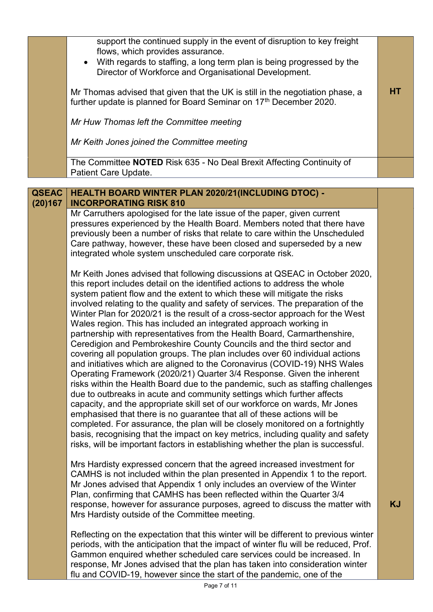| support the continued supply in the event of disruption to key freight<br>flows, which provides assurance.<br>• With regards to staffing, a long term plan is being progressed by the<br>Director of Workforce and Organisational Development. |    |  |
|------------------------------------------------------------------------------------------------------------------------------------------------------------------------------------------------------------------------------------------------|----|--|
| Mr Thomas advised that given that the UK is still in the negotiation phase, a<br>further update is planned for Board Seminar on 17th December 2020.                                                                                            | HТ |  |
| Mr Huw Thomas left the Committee meeting                                                                                                                                                                                                       |    |  |
| Mr Keith Jones joined the Committee meeting                                                                                                                                                                                                    |    |  |
| The Committee NOTED Risk 635 - No Deal Brexit Affecting Continuity of<br>Patient Care Update.                                                                                                                                                  |    |  |
|                                                                                                                                                                                                                                                |    |  |

| <b>QSEAC</b><br>(20)167 | <b>HEALTH BOARD WINTER PLAN 2020/21 (INCLUDING DTOC) -</b><br><b>INCORPORATING RISK 810</b>                                                                                                                                                                                                                                                                                                                                                                                                                                                                                                                                                                                                                                                                                                                                                                                                                                                                                                                                                                                                                                                                                                                                                                                                                                                                                                                                                               |           |
|-------------------------|-----------------------------------------------------------------------------------------------------------------------------------------------------------------------------------------------------------------------------------------------------------------------------------------------------------------------------------------------------------------------------------------------------------------------------------------------------------------------------------------------------------------------------------------------------------------------------------------------------------------------------------------------------------------------------------------------------------------------------------------------------------------------------------------------------------------------------------------------------------------------------------------------------------------------------------------------------------------------------------------------------------------------------------------------------------------------------------------------------------------------------------------------------------------------------------------------------------------------------------------------------------------------------------------------------------------------------------------------------------------------------------------------------------------------------------------------------------|-----------|
|                         | Mr Carruthers apologised for the late issue of the paper, given current<br>pressures experienced by the Health Board. Members noted that there have<br>previously been a number of risks that relate to care within the Unscheduled<br>Care pathway, however, these have been closed and superseded by a new<br>integrated whole system unscheduled care corporate risk.                                                                                                                                                                                                                                                                                                                                                                                                                                                                                                                                                                                                                                                                                                                                                                                                                                                                                                                                                                                                                                                                                  |           |
|                         | Mr Keith Jones advised that following discussions at QSEAC in October 2020,<br>this report includes detail on the identified actions to address the whole<br>system patient flow and the extent to which these will mitigate the risks<br>involved relating to the quality and safety of services. The preparation of the<br>Winter Plan for 2020/21 is the result of a cross-sector approach for the West<br>Wales region. This has included an integrated approach working in<br>partnership with representatives from the Health Board, Carmarthenshire,<br>Ceredigion and Pembrokeshire County Councils and the third sector and<br>covering all population groups. The plan includes over 60 individual actions<br>and initiatives which are aligned to the Coronavirus (COVID-19) NHS Wales<br>Operating Framework (2020/21) Quarter 3/4 Response. Given the inherent<br>risks within the Health Board due to the pandemic, such as staffing challenges<br>due to outbreaks in acute and community settings which further affects<br>capacity, and the appropriate skill set of our workforce on wards, Mr Jones<br>emphasised that there is no guarantee that all of these actions will be<br>completed. For assurance, the plan will be closely monitored on a fortnightly<br>basis, recognising that the impact on key metrics, including quality and safety<br>risks, will be important factors in establishing whether the plan is successful. |           |
|                         | Mrs Hardisty expressed concern that the agreed increased investment for<br>CAMHS is not included within the plan presented in Appendix 1 to the report.<br>Mr Jones advised that Appendix 1 only includes an overview of the Winter<br>Plan, confirming that CAMHS has been reflected within the Quarter 3/4<br>response, however for assurance purposes, agreed to discuss the matter with<br>Mrs Hardisty outside of the Committee meeting.                                                                                                                                                                                                                                                                                                                                                                                                                                                                                                                                                                                                                                                                                                                                                                                                                                                                                                                                                                                                             | <b>KJ</b> |
|                         | Reflecting on the expectation that this winter will be different to previous winter<br>periods, with the anticipation that the impact of winter flu will be reduced, Prof.<br>Gammon enquired whether scheduled care services could be increased. In<br>response, Mr Jones advised that the plan has taken into consideration winter<br>flu and COVID-19, however since the start of the pandemic, one of the                                                                                                                                                                                                                                                                                                                                                                                                                                                                                                                                                                                                                                                                                                                                                                                                                                                                                                                                                                                                                                             |           |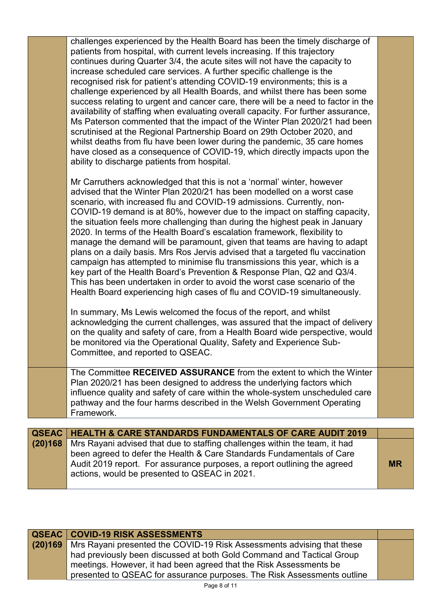|              | challenges experienced by the Health Board has been the timely discharge of<br>patients from hospital, with current levels increasing. If this trajectory<br>continues during Quarter 3/4, the acute sites will not have the capacity to<br>increase scheduled care services. A further specific challenge is the<br>recognised risk for patient's attending COVID-19 environments; this is a<br>challenge experienced by all Health Boards, and whilst there has been some<br>success relating to urgent and cancer care, there will be a need to factor in the<br>availability of staffing when evaluating overall capacity. For further assurance,<br>Ms Paterson commented that the impact of the Winter Plan 2020/21 had been<br>scrutinised at the Regional Partnership Board on 29th October 2020, and<br>whilst deaths from flu have been lower during the pandemic, 35 care homes<br>have closed as a consequence of COVID-19, which directly impacts upon the<br>ability to discharge patients from hospital. |           |
|--------------|-------------------------------------------------------------------------------------------------------------------------------------------------------------------------------------------------------------------------------------------------------------------------------------------------------------------------------------------------------------------------------------------------------------------------------------------------------------------------------------------------------------------------------------------------------------------------------------------------------------------------------------------------------------------------------------------------------------------------------------------------------------------------------------------------------------------------------------------------------------------------------------------------------------------------------------------------------------------------------------------------------------------------|-----------|
|              | Mr Carruthers acknowledged that this is not a 'normal' winter, however<br>advised that the Winter Plan 2020/21 has been modelled on a worst case<br>scenario, with increased flu and COVID-19 admissions. Currently, non-<br>COVID-19 demand is at 80%, however due to the impact on staffing capacity,<br>the situation feels more challenging than during the highest peak in January<br>2020. In terms of the Health Board's escalation framework, flexibility to<br>manage the demand will be paramount, given that teams are having to adapt<br>plans on a daily basis. Mrs Ros Jervis advised that a targeted flu vaccination<br>campaign has attempted to minimise flu transmissions this year, which is a<br>key part of the Health Board's Prevention & Response Plan, Q2 and Q3/4.<br>This has been undertaken in order to avoid the worst case scenario of the<br>Health Board experiencing high cases of flu and COVID-19 simultaneously.                                                                   |           |
|              | In summary, Ms Lewis welcomed the focus of the report, and whilst<br>acknowledging the current challenges, was assured that the impact of delivery<br>on the quality and safety of care, from a Health Board wide perspective, would<br>be monitored via the Operational Quality, Safety and Experience Sub-<br>Committee, and reported to QSEAC.                                                                                                                                                                                                                                                                                                                                                                                                                                                                                                                                                                                                                                                                       |           |
|              | The Committee RECEIVED ASSURANCE from the extent to which the Winter<br>Plan 2020/21 has been designed to address the underlying factors which<br>influence quality and safety of care within the whole-system unscheduled care<br>pathway and the four harms described in the Welsh Government Operating<br>Framework.                                                                                                                                                                                                                                                                                                                                                                                                                                                                                                                                                                                                                                                                                                 |           |
| <b>QSEAC</b> | <b>HEALTH &amp; CARE STANDARDS FUNDAMENTALS OF CARE AUDIT 2019</b>                                                                                                                                                                                                                                                                                                                                                                                                                                                                                                                                                                                                                                                                                                                                                                                                                                                                                                                                                      |           |
| (20)168      | Mrs Rayani advised that due to staffing challenges within the team, it had                                                                                                                                                                                                                                                                                                                                                                                                                                                                                                                                                                                                                                                                                                                                                                                                                                                                                                                                              |           |
|              | been agreed to defer the Health & Care Standards Fundamentals of Care<br>Audit 2019 report. For assurance purposes, a report outlining the agreed                                                                                                                                                                                                                                                                                                                                                                                                                                                                                                                                                                                                                                                                                                                                                                                                                                                                       | <b>MR</b> |

| <b>QSEAC   COVID-19 RISK ASSESSMENTS</b>                                       |  |
|--------------------------------------------------------------------------------|--|
| (20)169 Mrs Rayani presented the COVID-19 Risk Assessments advising that these |  |
| had previously been discussed at both Gold Command and Tactical Group          |  |
| meetings. However, it had been agreed that the Risk Assessments be             |  |
| presented to QSEAC for assurance purposes. The Risk Assessments outline        |  |

actions, would be presented to QSEAC in 2021.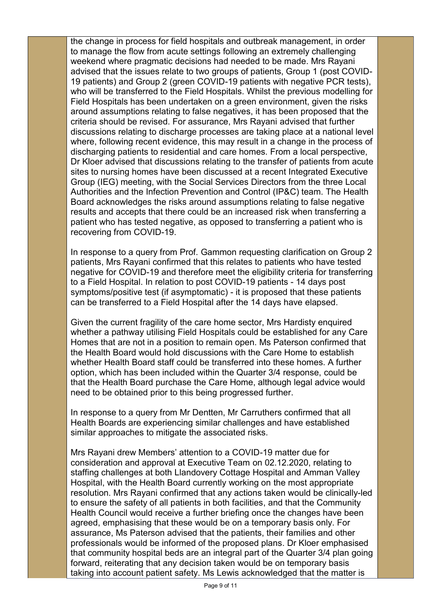the change in process for field hospitals and outbreak management, in order to manage the flow from acute settings following an extremely challenging weekend where pragmatic decisions had needed to be made. Mrs Rayani advised that the issues relate to two groups of patients, Group 1 (post COVID-19 patients) and Group 2 (green COVID-19 patients with negative PCR tests), who will be transferred to the Field Hospitals. Whilst the previous modelling for Field Hospitals has been undertaken on a green environment, given the risks around assumptions relating to false negatives, it has been proposed that the criteria should be revised. For assurance, Mrs Rayani advised that further discussions relating to discharge processes are taking place at a national level where, following recent evidence, this may result in a change in the process of discharging patients to residential and care homes. From a local perspective, Dr Kloer advised that discussions relating to the transfer of patients from acute sites to nursing homes have been discussed at a recent Integrated Executive Group (IEG) meeting, with the Social Services Directors from the three Local Authorities and the Infection Prevention and Control (IP&C) team. The Health Board acknowledges the risks around assumptions relating to false negative results and accepts that there could be an increased risk when transferring a patient who has tested negative, as opposed to transferring a patient who is recovering from COVID-19.

In response to a query from Prof. Gammon requesting clarification on Group 2 patients, Mrs Rayani confirmed that this relates to patients who have tested negative for COVID-19 and therefore meet the eligibility criteria for transferring to a Field Hospital. In relation to post COVID-19 patients - 14 days post symptoms/positive test (if asymptomatic) - it is proposed that these patients can be transferred to a Field Hospital after the 14 days have elapsed.

Given the current fragility of the care home sector, Mrs Hardisty enquired whether a pathway utilising Field Hospitals could be established for any Care Homes that are not in a position to remain open. Ms Paterson confirmed that the Health Board would hold discussions with the Care Home to establish whether Health Board staff could be transferred into these homes. A further option, which has been included within the Quarter 3/4 response, could be that the Health Board purchase the Care Home, although legal advice would need to be obtained prior to this being progressed further.

In response to a query from Mr Dentten, Mr Carruthers confirmed that all Health Boards are experiencing similar challenges and have established similar approaches to mitigate the associated risks.

Mrs Rayani drew Members' attention to a COVID-19 matter due for consideration and approval at Executive Team on 02.12.2020, relating to staffing challenges at both Llandovery Cottage Hospital and Amman Valley Hospital, with the Health Board currently working on the most appropriate resolution. Mrs Rayani confirmed that any actions taken would be clinically-led to ensure the safety of all patients in both facilities, and that the Community Health Council would receive a further briefing once the changes have been agreed, emphasising that these would be on a temporary basis only. For assurance, Ms Paterson advised that the patients, their families and other professionals would be informed of the proposed plans. Dr Kloer emphasised that community hospital beds are an integral part of the Quarter 3/4 plan going forward, reiterating that any decision taken would be on temporary basis taking into account patient safety. Ms Lewis acknowledged that the matter is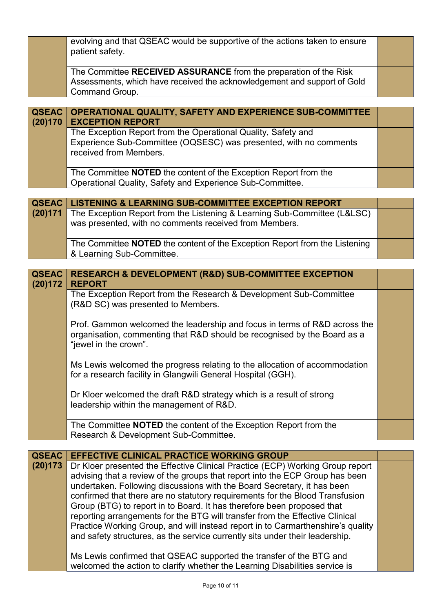|              | evolving and that QSEAC would be supportive of the actions taken to ensure        |  |
|--------------|-----------------------------------------------------------------------------------|--|
|              | patient safety.                                                                   |  |
|              |                                                                                   |  |
|              | The Committee RECEIVED ASSURANCE from the preparation of the Risk                 |  |
|              | Assessments, which have received the acknowledgement and support of Gold          |  |
|              | Command Group.                                                                    |  |
|              |                                                                                   |  |
| <b>QSEAC</b> | OPERATIONAL QUALITY, SAFETY AND EXPERIENCE SUB-COMMITTEE                          |  |
| (20)170      | <b>EXCEPTION REPORT</b>                                                           |  |
|              | The Exception Report from the Operational Quality, Safety and                     |  |
|              | Experience Sub-Committee (OQSESC) was presented, with no comments                 |  |
|              | received from Members.                                                            |  |
|              |                                                                                   |  |
|              | The Committee <b>NOTED</b> the content of the Exception Report from the           |  |
|              | Operational Quality, Safety and Experience Sub-Committee.                         |  |
|              |                                                                                   |  |
| <b>QSEAC</b> | <b>LISTENING &amp; LEARNING SUB-COMMITTEE EXCEPTION REPORT</b>                    |  |
| (20)171      | The Exception Report from the Listening & Learning Sub-Committee (L&LSC)          |  |
|              | was presented, with no comments received from Members.                            |  |
|              |                                                                                   |  |
|              | The Committee <b>NOTED</b> the content of the Exception Report from the Listening |  |
|              | & Learning Sub-Committee.                                                         |  |
|              |                                                                                   |  |
| <b>QSEAC</b> | <b>RESEARCH &amp; DEVELOPMENT (R&amp;D) SUB-COMMITTEE EXCEPTION</b>               |  |
| (20)172      | <b>REPORT</b>                                                                     |  |
|              | The Exception Report from the Research & Development Sub-Committee                |  |
|              | (R&D SC) was presented to Members.                                                |  |
|              |                                                                                   |  |
|              | Prof. Gammon welcomed the leadership and focus in terms of R&D across the         |  |
|              | organisation, commenting that R&D should be recognised by the Board as a          |  |
|              | "jewel in the crown".                                                             |  |
|              |                                                                                   |  |
|              | Ms Lewis welcomed the progress relating to the allocation of accommodation        |  |
|              | for a research facility in Glangwili General Hospital (GGH).                      |  |
|              |                                                                                   |  |
|              | Dr Kloer welcomed the draft R&D strategy which is a result of strong              |  |
|              | leadership within the management of R&D.                                          |  |
|              |                                                                                   |  |
|              |                                                                                   |  |
|              | The Committee NOTED the content of the Exception Report from the                  |  |
|              | Research & Development Sub-Committee.                                             |  |
|              |                                                                                   |  |
| <b>QSEAC</b> | <b>EFFECTIVE CLINICAL PRACTICE WORKING GROUP</b>                                  |  |
| (20)173      | Dr Kloer presented the Effective Clinical Practice (ECP) Working Group report     |  |
|              | advising that a review of the groups that report into the ECP Group has been      |  |
|              | undertaken. Following discussions with the Board Secretary, it has been           |  |
|              | confirmed that there are no statutory requirements for the Blood Transfusion      |  |
|              | Group (BTG) to report in to Board. It has therefore been proposed that            |  |
|              | reporting arrangements for the BTG will transfer from the Effective Clinical      |  |
|              | Practice Working Group, and will instead report in to Carmarthenshire's quality   |  |
|              | and safety structures, as the service currently sits under their leadership.      |  |

Ms Lewis confirmed that QSEAC supported the transfer of the BTG and welcomed the action to clarify whether the Learning Disabilities service is